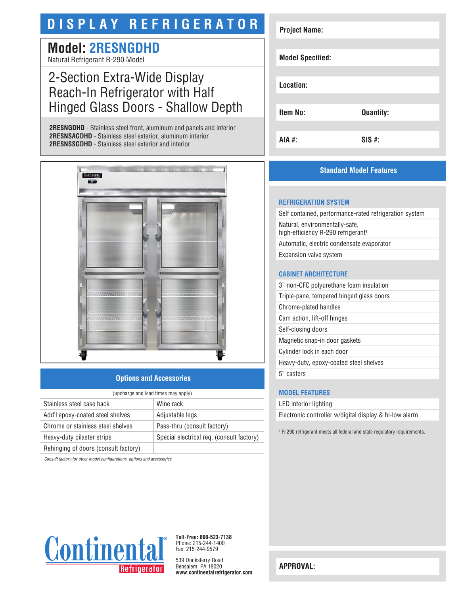# **DISPLAY REFRIGERATOR**

### **Model: 2RESNGDHD** Natural Refrigerant R-290 Model

## 2-Section Extra-Wide Display Reach-In Refrigerator with Half Hinged Glass Doors - Shallow Depth

**2RESNGDHD** - Stainless steel front, aluminum end panels and interior **2RESNSAGDHD** - Stainless steel exterior, aluminum interior **2RESNSSGDHD** - Stainless steel exterior and interior



#### **Options and Accessories**

| (upcharge and lead times may apply)  |                                           |  |
|--------------------------------------|-------------------------------------------|--|
| Stainless steel case back            | Wine rack                                 |  |
| Add'l epoxy-coated steel shelves     | Adjustable legs                           |  |
| Chrome or stainless steel shelves    | Pass-thru (consult factory)               |  |
| Heavy-duty pilaster strips           | Special electrical req. (consult factory) |  |
| Rehinging of doors (consult factory) |                                           |  |

*Consult factory for other model configurations, options and accessories.*



#### **Standard Model Features**

#### **REFRIGERATION SYSTEM**

Self contained, performance-rated refrigeration system Natural, environmentally-safe, high-efficiency R-290 refrigerant<sup>1</sup> Automatic, electric condensate evaporator Expansion valve system

#### **CABINET ARCHITECTURE**

3" non-CFC polyurethane foam insulation Triple-pane, tempered hinged glass doors Chrome-plated handles Cam action, lift-off hinges Self-closing doors Magnetic snap-in door gaskets Cylinder lock in each door Heavy-duty, epoxy-coated steel shelves 5" casters

#### **MODEL FEATURES**

LED interior lighting

Electronic controller w/digital display & hi-low alarm

1 R-290 refrigerant meets all federal and state regulatory requirements.



**Toll-Free: 800-523-7138** Phone: 215-244-1400 Fax: 215-244-9579

539 Dunksferry Road Bensalem, PA 19020 **www.continentalrefrigerator.com** 

**APPROVAL:**